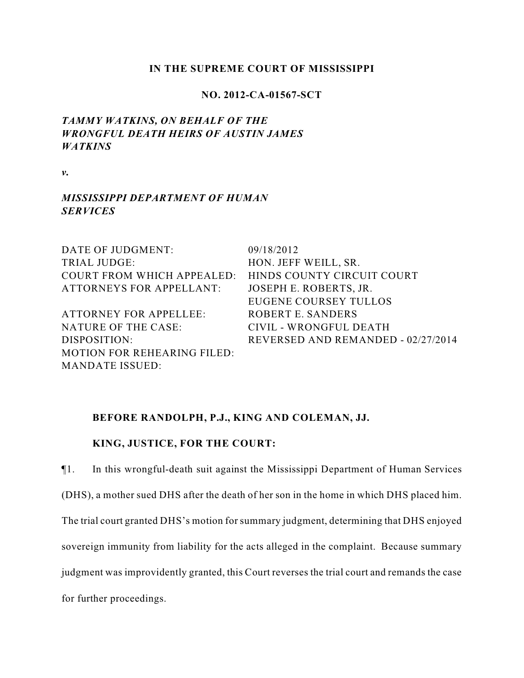### **IN THE SUPREME COURT OF MISSISSIPPI**

## **NO. 2012-CA-01567-SCT**

# *TAMMY WATKINS, ON BEHALF OF THE WRONGFUL DEATH HEIRS OF AUSTIN JAMES WATKINS*

*v.*

## *MISSISSIPPI DEPARTMENT OF HUMAN SERVICES*

| DATE OF JUDGMENT:                  | 09/18/2012                         |
|------------------------------------|------------------------------------|
| <b>TRIAL JUDGE:</b>                | HON. JEFF WEILL, SR.               |
| COURT FROM WHICH APPEALED:         | HINDS COUNTY CIRCUIT COURT         |
| <b>ATTORNEYS FOR APPELLANT:</b>    | JOSEPH E. ROBERTS, JR.             |
|                                    | <b>EUGENE COURSEY TULLOS</b>       |
| <b>ATTORNEY FOR APPELLEE:</b>      | ROBERT E. SANDERS                  |
| NATURE OF THE CASE:                | CIVIL - WRONGFUL DEATH             |
| DISPOSITION:                       | REVERSED AND REMANDED - 02/27/2014 |
| <b>MOTION FOR REHEARING FILED:</b> |                                    |
| <b>MANDATE ISSUED:</b>             |                                    |

### **BEFORE RANDOLPH, P.J., KING AND COLEMAN, JJ.**

## **KING, JUSTICE, FOR THE COURT:**

¶1. In this wrongful-death suit against the Mississippi Department of Human Services (DHS), a mother sued DHS after the death of her son in the home in which DHS placed him. The trial court granted DHS's motion for summary judgment, determining that DHS enjoyed sovereign immunity from liability for the acts alleged in the complaint. Because summary judgment was improvidently granted, this Court reverses the trial court and remands the case for further proceedings.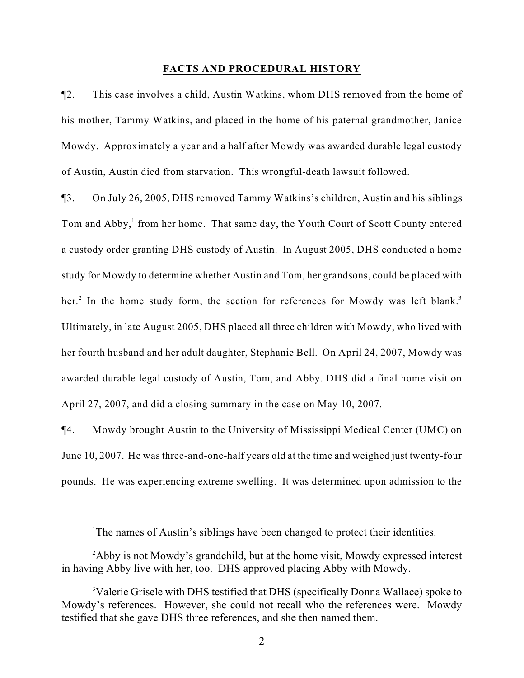#### **FACTS AND PROCEDURAL HISTORY**

¶2. This case involves a child, Austin Watkins, whom DHS removed from the home of his mother, Tammy Watkins, and placed in the home of his paternal grandmother, Janice Mowdy. Approximately a year and a half after Mowdy was awarded durable legal custody of Austin, Austin died from starvation. This wrongful-death lawsuit followed.

¶3. On July 26, 2005, DHS removed Tammy Watkins's children, Austin and his siblings Tom and Abby,<sup>1</sup> from her home. That same day, the Youth Court of Scott County entered a custody order granting DHS custody of Austin. In August 2005, DHS conducted a home study for Mowdy to determine whether Austin and Tom, her grandsons, could be placed with her.<sup>2</sup> In the home study form, the section for references for Mowdy was left blank.<sup>3</sup> Ultimately, in late August 2005, DHS placed all three children with Mowdy, who lived with her fourth husband and her adult daughter, Stephanie Bell. On April 24, 2007, Mowdy was awarded durable legal custody of Austin, Tom, and Abby. DHS did a final home visit on April 27, 2007, and did a closing summary in the case on May 10, 2007.

¶4. Mowdy brought Austin to the University of Mississippi Medical Center (UMC) on June 10, 2007. He was three-and-one-half years old at the time and weighed just twenty-four pounds. He was experiencing extreme swelling. It was determined upon admission to the

<sup>&</sup>lt;sup>1</sup>The names of Austin's siblings have been changed to protect their identities.

<sup>&</sup>lt;sup>2</sup>Abby is not Mowdy's grandchild, but at the home visit, Mowdy expressed interest in having Abby live with her, too. DHS approved placing Abby with Mowdy.

<sup>&</sup>lt;sup>3</sup>Valerie Grisele with DHS testified that DHS (specifically Donna Wallace) spoke to Mowdy's references. However, she could not recall who the references were. Mowdy testified that she gave DHS three references, and she then named them.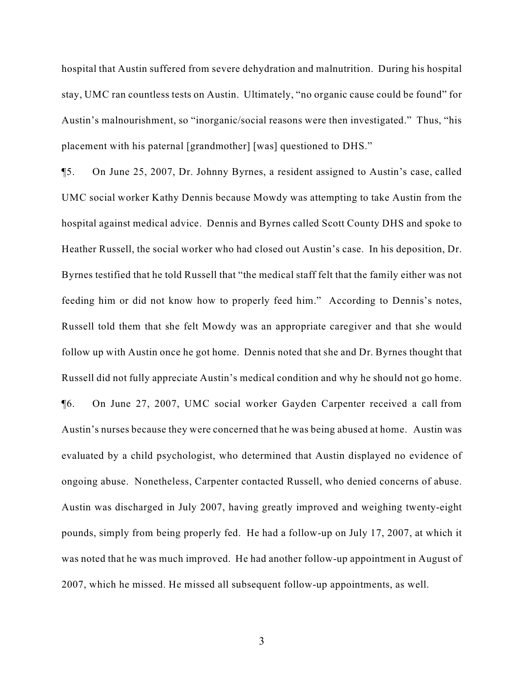hospital that Austin suffered from severe dehydration and malnutrition. During his hospital stay, UMC ran countless tests on Austin. Ultimately, "no organic cause could be found" for Austin's malnourishment, so "inorganic/social reasons were then investigated." Thus, "his placement with his paternal [grandmother] [was] questioned to DHS."

¶5. On June 25, 2007, Dr. Johnny Byrnes, a resident assigned to Austin's case, called UMC social worker Kathy Dennis because Mowdy was attempting to take Austin from the hospital against medical advice. Dennis and Byrnes called Scott County DHS and spoke to Heather Russell, the social worker who had closed out Austin's case. In his deposition, Dr. Byrnes testified that he told Russell that "the medical staff felt that the family either was not feeding him or did not know how to properly feed him." According to Dennis's notes, Russell told them that she felt Mowdy was an appropriate caregiver and that she would follow up with Austin once he got home. Dennis noted that she and Dr. Byrnes thought that Russell did not fully appreciate Austin's medical condition and why he should not go home. ¶6. On June 27, 2007, UMC social worker Gayden Carpenter received a call from Austin's nurses because they were concerned that he was being abused at home. Austin was evaluated by a child psychologist, who determined that Austin displayed no evidence of ongoing abuse. Nonetheless, Carpenter contacted Russell, who denied concerns of abuse. Austin was discharged in July 2007, having greatly improved and weighing twenty-eight pounds, simply from being properly fed. He had a follow-up on July 17, 2007, at which it was noted that he was much improved. He had another follow-up appointment in August of 2007, which he missed. He missed all subsequent follow-up appointments, as well.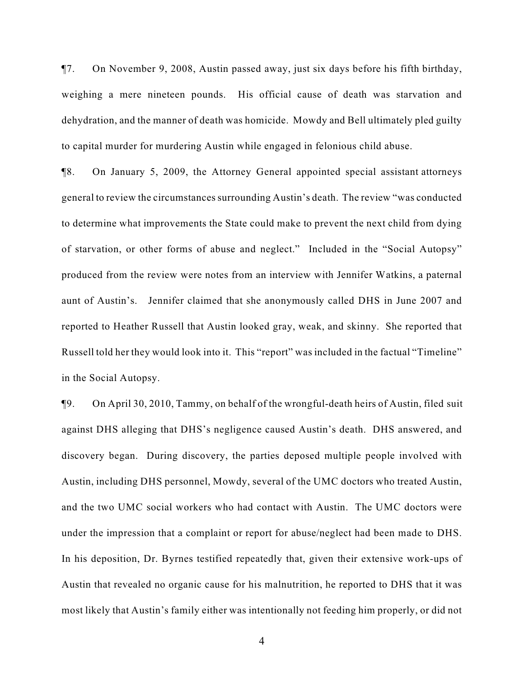¶7. On November 9, 2008, Austin passed away, just six days before his fifth birthday, weighing a mere nineteen pounds. His official cause of death was starvation and dehydration, and the manner of death was homicide. Mowdy and Bell ultimately pled guilty to capital murder for murdering Austin while engaged in felonious child abuse.

¶8. On January 5, 2009, the Attorney General appointed special assistant attorneys general to review the circumstances surrounding Austin's death. The review "was conducted to determine what improvements the State could make to prevent the next child from dying of starvation, or other forms of abuse and neglect." Included in the "Social Autopsy" produced from the review were notes from an interview with Jennifer Watkins, a paternal aunt of Austin's. Jennifer claimed that she anonymously called DHS in June 2007 and reported to Heather Russell that Austin looked gray, weak, and skinny. She reported that Russell told her they would look into it. This "report" was included in the factual "Timeline" in the Social Autopsy.

¶9. On April 30, 2010, Tammy, on behalf of the wrongful-death heirs of Austin, filed suit against DHS alleging that DHS's negligence caused Austin's death. DHS answered, and discovery began. During discovery, the parties deposed multiple people involved with Austin, including DHS personnel, Mowdy, several of the UMC doctors who treated Austin, and the two UMC social workers who had contact with Austin. The UMC doctors were under the impression that a complaint or report for abuse/neglect had been made to DHS. In his deposition, Dr. Byrnes testified repeatedly that, given their extensive work-ups of Austin that revealed no organic cause for his malnutrition, he reported to DHS that it was most likely that Austin's family either was intentionally not feeding him properly, or did not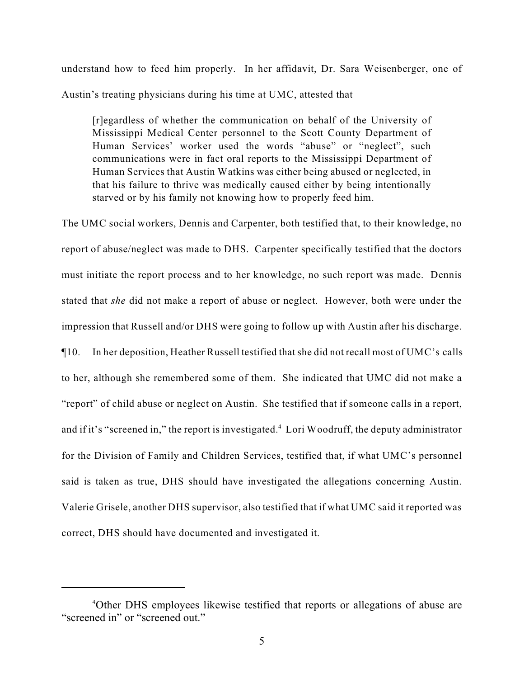understand how to feed him properly. In her affidavit, Dr. Sara Weisenberger, one of Austin's treating physicians during his time at UMC, attested that

[r]egardless of whether the communication on behalf of the University of Mississippi Medical Center personnel to the Scott County Department of Human Services' worker used the words "abuse" or "neglect", such communications were in fact oral reports to the Mississippi Department of Human Services that Austin Watkins was either being abused or neglected, in that his failure to thrive was medically caused either by being intentionally starved or by his family not knowing how to properly feed him.

The UMC social workers, Dennis and Carpenter, both testified that, to their knowledge, no report of abuse/neglect was made to DHS. Carpenter specifically testified that the doctors must initiate the report process and to her knowledge, no such report was made. Dennis stated that *she* did not make a report of abuse or neglect. However, both were under the impression that Russell and/or DHS were going to follow up with Austin after his discharge. ¶10. In her deposition, Heather Russell testified that she did not recall most of UMC's calls to her, although she remembered some of them. She indicated that UMC did not make a "report" of child abuse or neglect on Austin. She testified that if someone calls in a report, and if it's "screened in," the report is investigated.<sup>4</sup> Lori Woodruff, the deputy administrator for the Division of Family and Children Services, testified that, if what UMC's personnel said is taken as true, DHS should have investigated the allegations concerning Austin. Valerie Grisele, another DHS supervisor, also testified that if what UMC said it reported was correct, DHS should have documented and investigated it.

<sup>&</sup>lt;sup>4</sup>Other DHS employees likewise testified that reports or allegations of abuse are "screened in" or "screened out."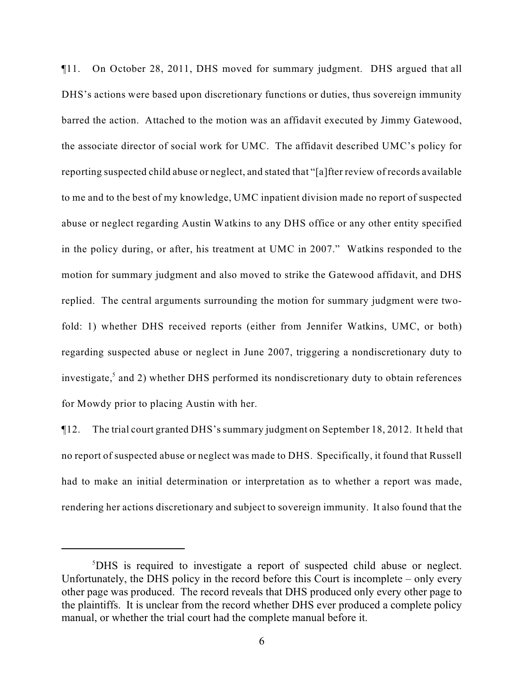¶11. On October 28, 2011, DHS moved for summary judgment. DHS argued that all DHS's actions were based upon discretionary functions or duties, thus sovereign immunity barred the action. Attached to the motion was an affidavit executed by Jimmy Gatewood, the associate director of social work for UMC. The affidavit described UMC's policy for reporting suspected child abuse or neglect, and stated that "[a]fter review of records available to me and to the best of my knowledge, UMC inpatient division made no report of suspected abuse or neglect regarding Austin Watkins to any DHS office or any other entity specified in the policy during, or after, his treatment at UMC in 2007." Watkins responded to the motion for summary judgment and also moved to strike the Gatewood affidavit, and DHS replied. The central arguments surrounding the motion for summary judgment were twofold: 1) whether DHS received reports (either from Jennifer Watkins, UMC, or both) regarding suspected abuse or neglect in June 2007, triggering a nondiscretionary duty to investigate, $5$  and 2) whether DHS performed its nondiscretionary duty to obtain references for Mowdy prior to placing Austin with her.

¶12. The trial court granted DHS's summary judgment on September 18, 2012. It held that no report of suspected abuse or neglect was made to DHS. Specifically, it found that Russell had to make an initial determination or interpretation as to whether a report was made, rendering her actions discretionary and subject to sovereign immunity. It also found that the

<sup>&</sup>lt;sup>5</sup>DHS is required to investigate a report of suspected child abuse or neglect. Unfortunately, the DHS policy in the record before this Court is incomplete – only every other page was produced. The record reveals that DHS produced only every other page to the plaintiffs. It is unclear from the record whether DHS ever produced a complete policy manual, or whether the trial court had the complete manual before it.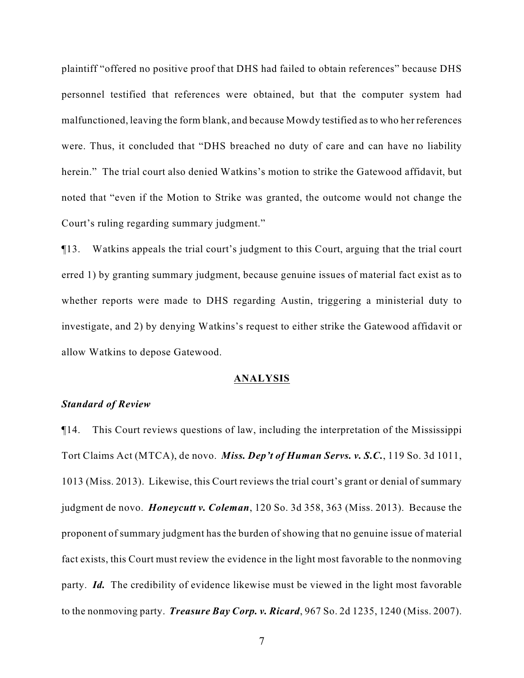plaintiff "offered no positive proof that DHS had failed to obtain references" because DHS personnel testified that references were obtained, but that the computer system had malfunctioned, leaving the form blank, and because Mowdy testified as to who her references were. Thus, it concluded that "DHS breached no duty of care and can have no liability herein." The trial court also denied Watkins's motion to strike the Gatewood affidavit, but noted that "even if the Motion to Strike was granted, the outcome would not change the Court's ruling regarding summary judgment."

¶13. Watkins appeals the trial court's judgment to this Court, arguing that the trial court erred 1) by granting summary judgment, because genuine issues of material fact exist as to whether reports were made to DHS regarding Austin, triggering a ministerial duty to investigate, and 2) by denying Watkins's request to either strike the Gatewood affidavit or allow Watkins to depose Gatewood.

#### **ANALYSIS**

### *Standard of Review*

¶14. This Court reviews questions of law, including the interpretation of the Mississippi Tort Claims Act (MTCA), de novo. *Miss. Dep't of Human Servs. v. S.C.*, 119 So. 3d 1011, 1013 (Miss. 2013). Likewise, this Court reviews the trial court's grant or denial of summary judgment de novo. *Honeycutt v. Coleman*, 120 So. 3d 358, 363 (Miss. 2013). Because the proponent of summary judgment has the burden of showing that no genuine issue of material fact exists, this Court must review the evidence in the light most favorable to the nonmoving party. *Id.* The credibility of evidence likewise must be viewed in the light most favorable to the nonmoving party. *Treasure Bay Corp. v. Ricard*, 967 So. 2d 1235, 1240 (Miss. 2007).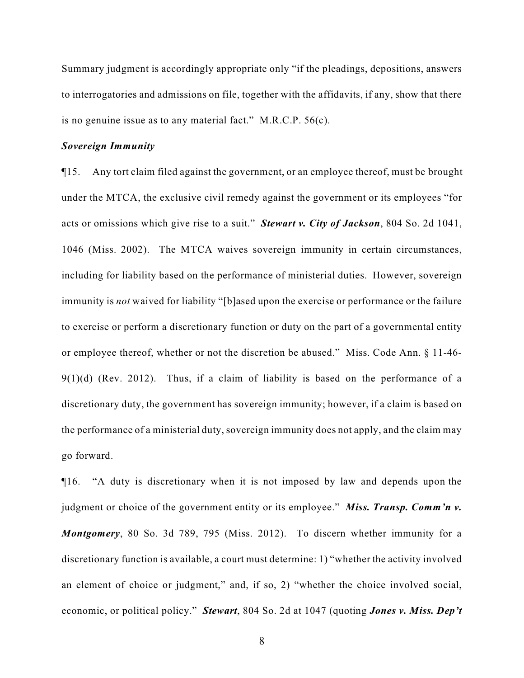Summary judgment is accordingly appropriate only "if the pleadings, depositions, answers to interrogatories and admissions on file, together with the affidavits, if any, show that there is no genuine issue as to any material fact." M.R.C.P. 56(c).

## *Sovereign Immunity*

¶15. Any tort claim filed against the government, or an employee thereof, must be brought under the MTCA, the exclusive civil remedy against the government or its employees "for acts or omissions which give rise to a suit." *Stewart v. City of Jackson*, 804 So. 2d 1041, 1046 (Miss. 2002). The MTCA waives sovereign immunity in certain circumstances, including for liability based on the performance of ministerial duties. However, sovereign immunity is *not* waived for liability "[b]ased upon the exercise or performance or the failure to exercise or perform a discretionary function or duty on the part of a governmental entity or employee thereof, whether or not the discretion be abused." Miss. Code Ann. § 11-46-  $9(1)(d)$  (Rev. 2012). Thus, if a claim of liability is based on the performance of a discretionary duty, the government has sovereign immunity; however, if a claim is based on the performance of a ministerial duty, sovereign immunity does not apply, and the claim may go forward.

¶16. "A duty is discretionary when it is not imposed by law and depends upon the judgment or choice of the government entity or its employee." *Miss. Transp. Comm'n v. Montgomery*, 80 So. 3d 789, 795 (Miss. 2012). To discern whether immunity for a discretionary function is available, a court must determine: 1) "whether the activity involved an element of choice or judgment," and, if so, 2) "whether the choice involved social, economic, or political policy." *Stewart*, 804 So. 2d at 1047 (quoting *Jones v. Miss. Dep't*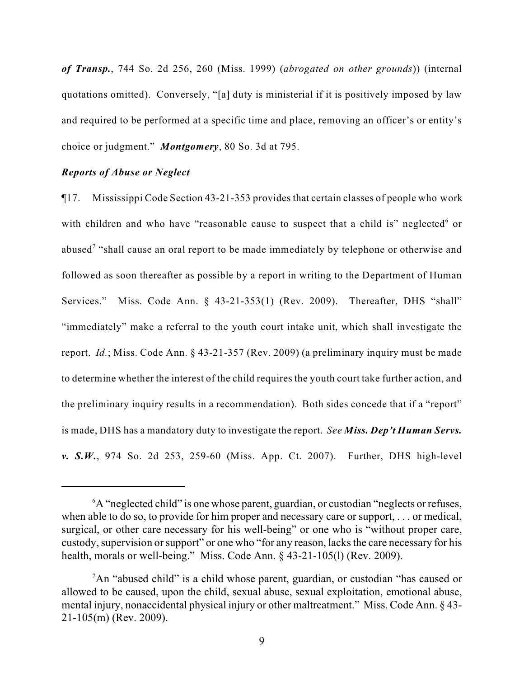*of Transp.*, 744 So. 2d 256, 260 (Miss. 1999) (*abrogated on other grounds*)) (internal quotations omitted). Conversely, "[a] duty is ministerial if it is positively imposed by law and required to be performed at a specific time and place, removing an officer's or entity's choice or judgment." *Montgomery*, 80 So. 3d at 795.

### *Reports of Abuse or Neglect*

¶17. Mississippi Code Section 43-21-353 provides that certain classes of people who work with children and who have "reasonable cause to suspect that a child is" neglected or abused<sup>7</sup> "shall cause an oral report to be made immediately by telephone or otherwise and followed as soon thereafter as possible by a report in writing to the Department of Human Services." Miss. Code Ann. § 43-21-353(1) (Rev. 2009). Thereafter, DHS "shall" "immediately" make a referral to the youth court intake unit, which shall investigate the report. *Id.*; Miss. Code Ann. § 43-21-357 (Rev. 2009) (a preliminary inquiry must be made to determine whether the interest of the child requires the youth court take further action, and the preliminary inquiry results in a recommendation). Both sides concede that if a "report" is made, DHS has a mandatory duty to investigate the report. *See Miss. Dep't Human Servs. v. S.W.*, 974 So. 2d 253, 259-60 (Miss. App. Ct. 2007). Further, DHS high-level

<sup>&</sup>lt;sup>6</sup>A "neglected child" is one whose parent, guardian, or custodian "neglects or refuses, when able to do so, to provide for him proper and necessary care or support, . . . or medical, surgical, or other care necessary for his well-being" or one who is "without proper care, custody, supervision or support" or one who "for any reason, lacks the care necessary for his health, morals or well-being." Miss. Code Ann. § 43-21-105(l) (Rev. 2009).

<sup>&</sup>lt;sup>7</sup>An "abused child" is a child whose parent, guardian, or custodian "has caused or allowed to be caused, upon the child, sexual abuse, sexual exploitation, emotional abuse, mental injury, nonaccidental physical injury or other maltreatment." Miss. Code Ann. § 43- 21-105(m) (Rev. 2009).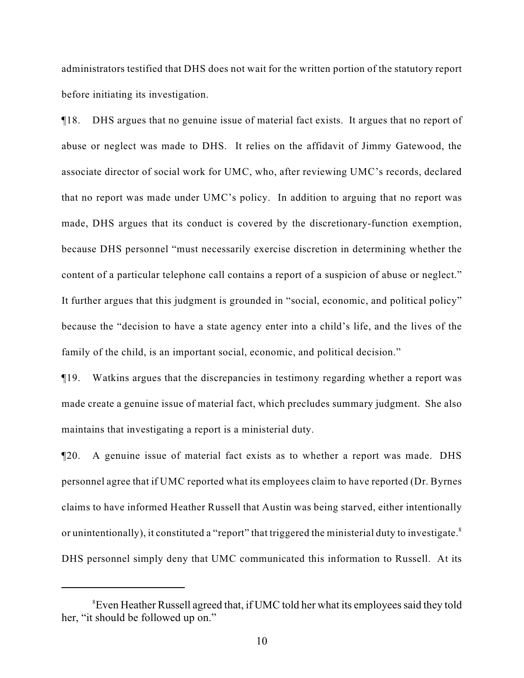administrators testified that DHS does not wait for the written portion of the statutory report before initiating its investigation.

¶18. DHS argues that no genuine issue of material fact exists. It argues that no report of abuse or neglect was made to DHS. It relies on the affidavit of Jimmy Gatewood, the associate director of social work for UMC, who, after reviewing UMC's records, declared that no report was made under UMC's policy. In addition to arguing that no report was made, DHS argues that its conduct is covered by the discretionary-function exemption, because DHS personnel "must necessarily exercise discretion in determining whether the content of a particular telephone call contains a report of a suspicion of abuse or neglect." It further argues that this judgment is grounded in "social, economic, and political policy" because the "decision to have a state agency enter into a child's life, and the lives of the family of the child, is an important social, economic, and political decision."

¶19. Watkins argues that the discrepancies in testimony regarding whether a report was made create a genuine issue of material fact, which precludes summary judgment. She also maintains that investigating a report is a ministerial duty.

¶20. A genuine issue of material fact exists as to whether a report was made. DHS personnel agree that if UMC reported what its employees claim to have reported (Dr. Byrnes claims to have informed Heather Russell that Austin was being starved, either intentionally or unintentionally), it constituted a "report" that triggered the ministerial duty to investigate.<sup>8</sup> DHS personnel simply deny that UMC communicated this information to Russell. At its

<sup>&</sup>lt;sup>8</sup> Even Heather Russell agreed that, if UMC told her what its employees said they told her, "it should be followed up on."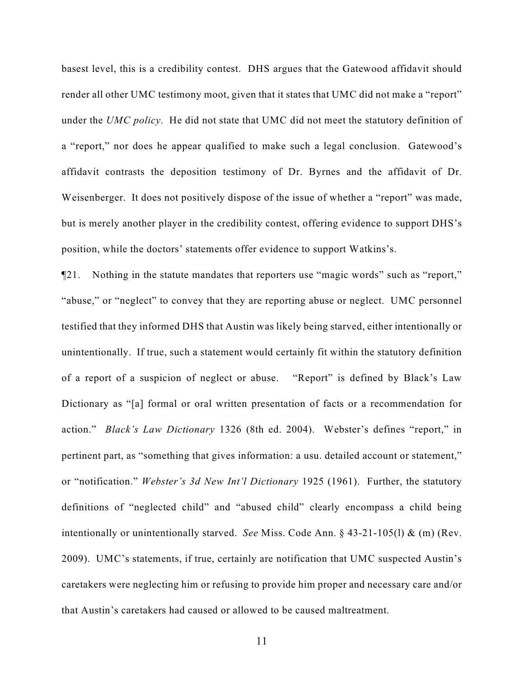basest level, this is a credibility contest. DHS argues that the Gatewood affidavit should render all other UMC testimony moot, given that it states that UMC did not make a "report" under the *UMC policy*. He did not state that UMC did not meet the statutory definition of a "report," nor does he appear qualified to make such a legal conclusion. Gatewood's affidavit contrasts the deposition testimony of Dr. Byrnes and the affidavit of Dr. Weisenberger. It does not positively dispose of the issue of whether a "report" was made, but is merely another player in the credibility contest, offering evidence to support DHS's position, while the doctors' statements offer evidence to support Watkins's.

¶21. Nothing in the statute mandates that reporters use "magic words" such as "report," "abuse," or "neglect" to convey that they are reporting abuse or neglect. UMC personnel testified that they informed DHS that Austin was likely being starved, either intentionally or unintentionally. If true, such a statement would certainly fit within the statutory definition of a report of a suspicion of neglect or abuse. "Report" is defined by Black's Law Dictionary as "[a] formal or oral written presentation of facts or a recommendation for action." *Black's Law Dictionary* 1326 (8th ed. 2004). Webster's defines "report," in pertinent part, as "something that gives information: a usu. detailed account or statement," or "notification." *Webster's 3d New Int'l Dictionary* 1925 (1961). Further, the statutory definitions of "neglected child" and "abused child" clearly encompass a child being intentionally or unintentionally starved. *See* Miss. Code Ann. § 43-21-105(l) & (m) (Rev. 2009). UMC's statements, if true, certainly are notification that UMC suspected Austin's caretakers were neglecting him or refusing to provide him proper and necessary care and/or that Austin's caretakers had caused or allowed to be caused maltreatment.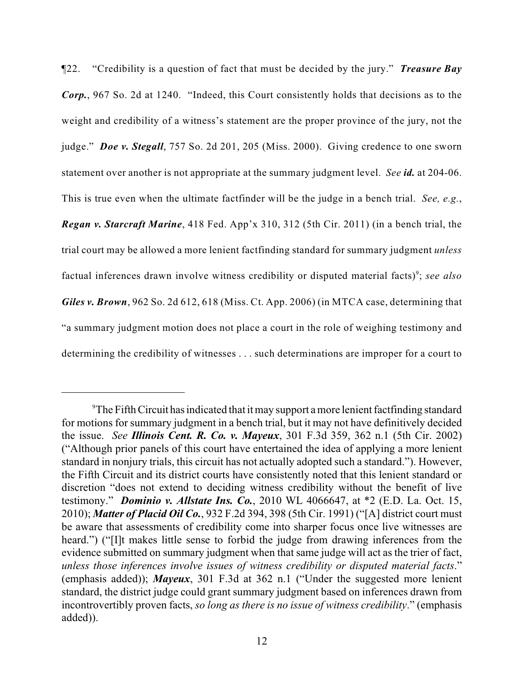¶22. "Credibility is a question of fact that must be decided by the jury." *Treasure Bay Corp.*, 967 So. 2d at 1240. "Indeed, this Court consistently holds that decisions as to the weight and credibility of a witness's statement are the proper province of the jury, not the judge." *Doe v. Stegall*, 757 So. 2d 201, 205 (Miss. 2000). Giving credence to one sworn statement over another is not appropriate at the summary judgment level. *See id.* at 204-06. This is true even when the ultimate factfinder will be the judge in a bench trial. *See, e.g.*, *Regan v. Starcraft Marine*, 418 Fed. App'x 310, 312 (5th Cir. 2011) (in a bench trial, the trial court may be allowed a more lenient factfinding standard for summary judgment *unless* factual inferences drawn involve witness credibility or disputed material facts)<sup>9</sup>; *see also Giles v. Brown*, 962 So. 2d 612, 618 (Miss. Ct. App. 2006) (in MTCA case, determining that "a summary judgment motion does not place a court in the role of weighing testimony and determining the credibility of witnesses . . . such determinations are improper for a court to

 $\rm{^9}$ The Fifth Circuit has indicated that it may support a more lenient factfinding standard for motions for summary judgment in a bench trial, but it may not have definitively decided the issue. *See Illinois Cent. R. Co. v. Mayeux*, 301 F.3d 359, 362 n.1 (5th Cir. 2002) ("Although prior panels of this court have entertained the idea of applying a more lenient standard in nonjury trials, this circuit has not actually adopted such a standard."). However, the Fifth Circuit and its district courts have consistently noted that this lenient standard or discretion "does not extend to deciding witness credibility without the benefit of live testimony." *Dominio v. Allstate Ins. Co.*, 2010 WL 4066647, at \*2 (E.D. La. Oct. 15, 2010); *Matter of Placid Oil Co.*, 932 F.2d 394, 398 (5th Cir. 1991) ("[A] district court must be aware that assessments of credibility come into sharper focus once live witnesses are heard.") ("I]t makes little sense to forbid the judge from drawing inferences from the evidence submitted on summary judgment when that same judge will act as the trier of fact, *unless those inferences involve issues of witness credibility or disputed material facts*." (emphasis added)); *Mayeux*, 301 F.3d at 362 n.1 ("Under the suggested more lenient standard, the district judge could grant summary judgment based on inferences drawn from incontrovertibly proven facts, *so long as there is no issue of witness credibility*." (emphasis added)).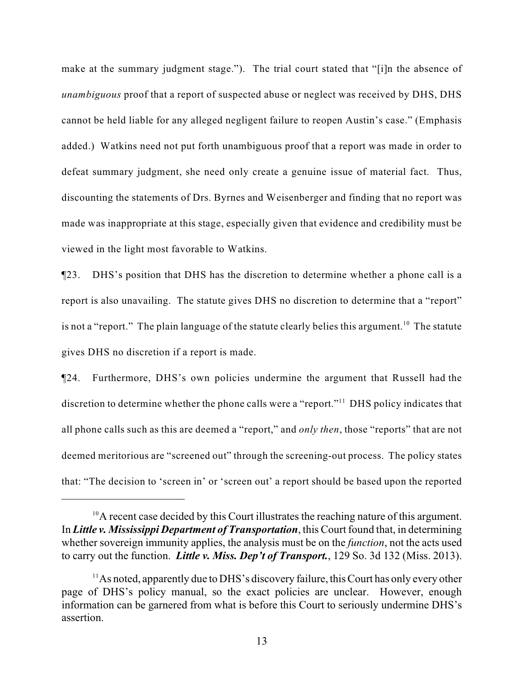make at the summary judgment stage."). The trial court stated that "[i]n the absence of *unambiguous* proof that a report of suspected abuse or neglect was received by DHS, DHS cannot be held liable for any alleged negligent failure to reopen Austin's case." (Emphasis added.) Watkins need not put forth unambiguous proof that a report was made in order to defeat summary judgment, she need only create a genuine issue of material fact. Thus, discounting the statements of Drs. Byrnes and Weisenberger and finding that no report was made was inappropriate at this stage, especially given that evidence and credibility must be viewed in the light most favorable to Watkins.

¶23. DHS's position that DHS has the discretion to determine whether a phone call is a report is also unavailing. The statute gives DHS no discretion to determine that a "report" is not a "report." The plain language of the statute clearly belies this argument.<sup>10</sup> The statute gives DHS no discretion if a report is made.

¶24. Furthermore, DHS's own policies undermine the argument that Russell had the discretion to determine whether the phone calls were a "report."<sup>11</sup> DHS policy indicates that all phone calls such as this are deemed a "report," and *only then*, those "reports" that are not deemed meritorious are "screened out" through the screening-out process. The policy states that: "The decision to 'screen in' or 'screen out' a report should be based upon the reported

 $^{10}$ A recent case decided by this Court illustrates the reaching nature of this argument. In *Little v. Mississippi Department of Transportation*, this Court found that, in determining whether sovereign immunity applies, the analysis must be on the *function*, not the acts used to carry out the function. *Little v. Miss. Dep't of Transport.*, 129 So. 3d 132 (Miss. 2013).

 $^{11}$ As noted, apparently due to DHS's discovery failure, this Court has only every other page of DHS's policy manual, so the exact policies are unclear. However, enough information can be garnered from what is before this Court to seriously undermine DHS's assertion.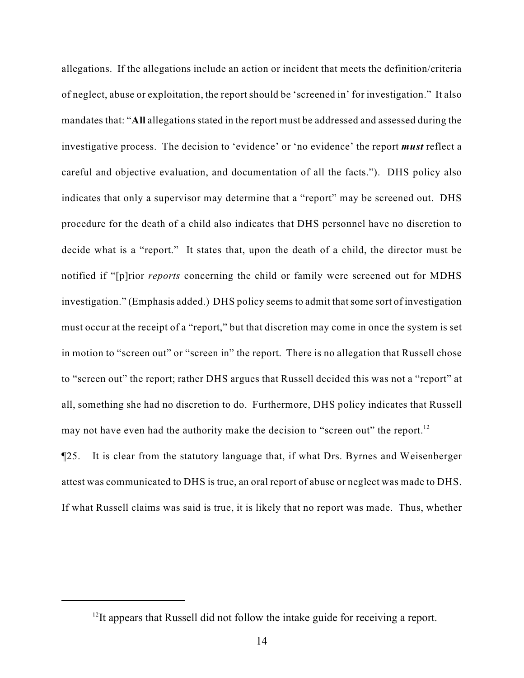allegations. If the allegations include an action or incident that meets the definition/criteria of neglect, abuse or exploitation, the report should be 'screened in' for investigation." It also mandates that: "**All** allegations stated in the report must be addressed and assessed during the investigative process. The decision to 'evidence' or 'no evidence' the report *must* reflect a careful and objective evaluation, and documentation of all the facts."). DHS policy also indicates that only a supervisor may determine that a "report" may be screened out. DHS procedure for the death of a child also indicates that DHS personnel have no discretion to decide what is a "report." It states that, upon the death of a child, the director must be notified if "[p]rior *reports* concerning the child or family were screened out for MDHS investigation." (Emphasis added.) DHS policy seems to admit that some sort of investigation must occur at the receipt of a "report," but that discretion may come in once the system is set in motion to "screen out" or "screen in" the report. There is no allegation that Russell chose to "screen out" the report; rather DHS argues that Russell decided this was not a "report" at all, something she had no discretion to do. Furthermore, DHS policy indicates that Russell may not have even had the authority make the decision to "screen out" the report.<sup>12</sup>

¶25. It is clear from the statutory language that, if what Drs. Byrnes and Weisenberger attest was communicated to DHS is true, an oral report of abuse or neglect was made to DHS. If what Russell claims was said is true, it is likely that no report was made. Thus, whether

 $12$ It appears that Russell did not follow the intake guide for receiving a report.